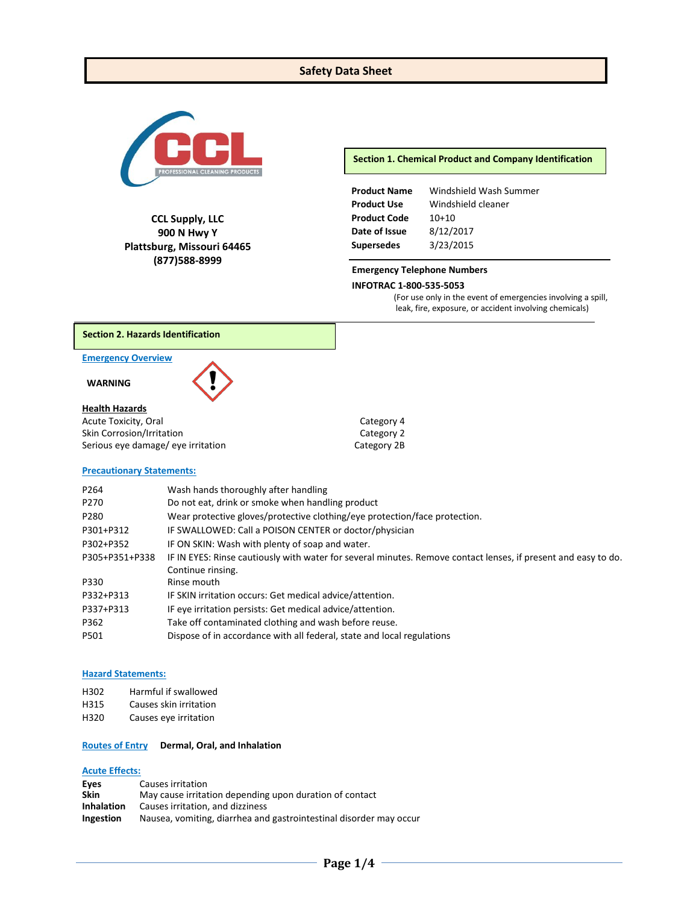### **Safety Data Sheet**



**CCL Supply, LLC 900 N Hwy Y Plattsburg, Missouri 64465 (877)588-8999**

**Section 1. Chemical Product and Company Identification**

| <b>Product Name</b> | Windshield Wash Summer |
|---------------------|------------------------|
| <b>Product Use</b>  | Windshield cleaner     |
| <b>Product Code</b> | $10+10$                |
| Date of Issue       | 8/12/2017              |
| <b>Supersedes</b>   | 3/23/2015              |

#### **Emergency Telephone Numbers**

#### **INFOTRAC 1-800-535-5053**

(For use only in the event of emergencies involving a spill, leak, fire, exposure, or accident involving chemicals)

#### **Section 2. Hazards Identification**

#### **Emergency Overview**

**WARNING**

# **Health Hazards**

Acute Toxicity, Oral **Category 4** Skin Corrosion/Irritation<br>
Serious eye damage/ eye irritation<br>
Category 2B Serious eye damage/ eye irritation

# **Precautionary Statements:**

| Wash hands thoroughly after handling                                                                           |
|----------------------------------------------------------------------------------------------------------------|
| Do not eat, drink or smoke when handling product                                                               |
| Wear protective gloves/protective clothing/eye protection/face protection.                                     |
| IF SWALLOWED: Call a POISON CENTER or doctor/physician                                                         |
| IF ON SKIN: Wash with plenty of soap and water.                                                                |
| IF IN EYES: Rinse cautiously with water for several minutes. Remove contact lenses, if present and easy to do. |
| Continue rinsing.                                                                                              |
| Rinse mouth                                                                                                    |
| IF SKIN irritation occurs: Get medical advice/attention.                                                       |
| IF eye irritation persists: Get medical advice/attention.                                                      |
| Take off contaminated clothing and wash before reuse.                                                          |
| Dispose of in accordance with all federal, state and local regulations                                         |
|                                                                                                                |

#### **Hazard Statements:**

| H302 |  | Harmful if swallowed |
|------|--|----------------------|
|------|--|----------------------|

- H315 Causes skin irritation
- H320 Causes eye irritation

#### **Routes of Entry Dermal, Oral, and Inhalation**

#### **Acute Effects:**

| Eyes              | Causes irritation                                                  |
|-------------------|--------------------------------------------------------------------|
| <b>Skin</b>       | May cause irritation depending upon duration of contact            |
| <b>Inhalation</b> | Causes irritation, and dizziness                                   |
| Ingestion         | Nausea, vomiting, diarrhea and gastrointestinal disorder may occur |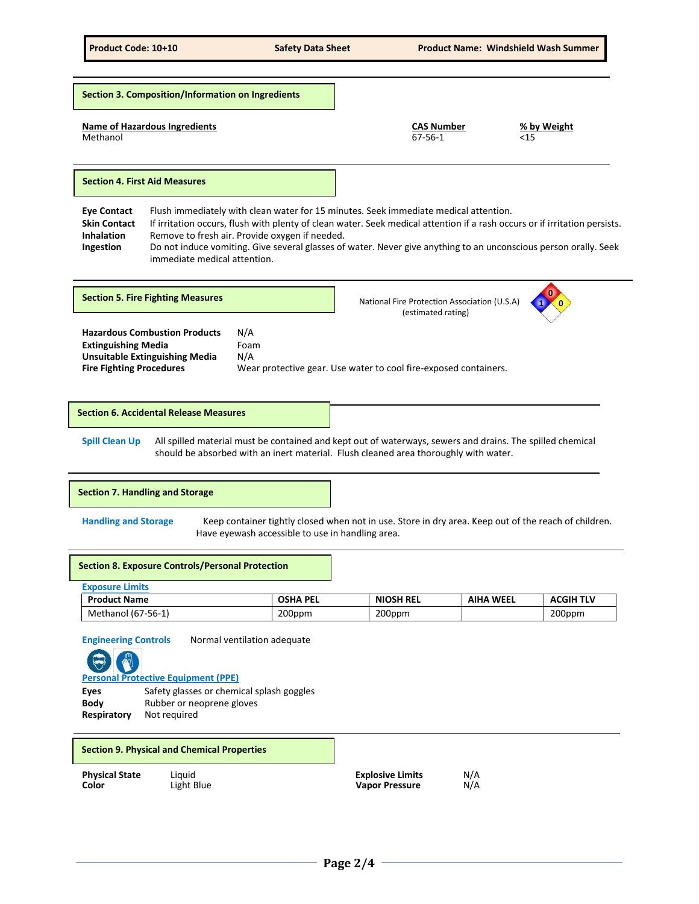**Name of Hazardous Ingredients CAS Number % by Weight** Methanol 67-56-1 <15 **Eye Contact** Flush immediately with clean water for 15 minutes. Seek immediate medical attention. **Skin Contact** If irritation occurs, flush with plenty of clean water. Seek medical attention if a rash occurs or if irritation persists. **Inhalation** Remove to fresh air. Provide oxygen if needed. **Ingestion** Do not induce vomiting. Give several glasses of water. Never give anything to an unconscious person orally. Seek immediate medical attention. **Hazardous Combustion Products** N/A **Extinguishing Media** Foam<br> **Unsuitable Extinguishing Media** N/A **Unsuitable Extinguishing Media Fire Fighting Procedures** Wear protective gear. Use water to cool fire-exposed containers. **Spill Clean Up** All spilled material must be contained and kept out of waterways, sewers and drains. The spilled chemical should be absorbed with an inert material. Flush cleaned area thoroughly with water. **Handling and Storage** Keep container tightly closed when not in use. Store in dry area. Keep out of the reach of children. Have eyewash accessible to use in handling area. **Exposure Limits Product Name OSHA PEL NIOSH REL AIHA WEEL ACGIH TLV** Methanol (67-56-1) 200ppm 200ppm 200ppm **Engineering Controls** Normal ventilation adequate **Section 8. Exposure Controls/Personal Protection 0** National Fire Protection Association (U.S.A) (estimated rating) **1 0 Section 5. Fire Fighting Measures Section 3. Composition/Information on Ingredients Section 4. First Aid Measures Section 6. Accidental Release Measures Section 7. Handling and Storage**

**Personal Protective Equipment (PPE)**

Eyes Safety glasses or chemical splash goggles **Body** Rubber or neoprene gloves **Respiratory** Not required

#### **Section 9. Physical and Chemical Properties**

| <b>Physical State</b> | Liauid     | <b>Explosive Limits</b> | N/A |
|-----------------------|------------|-------------------------|-----|
| Color                 | Light Blue | <b>Vapor Pressure</b>   | N/A |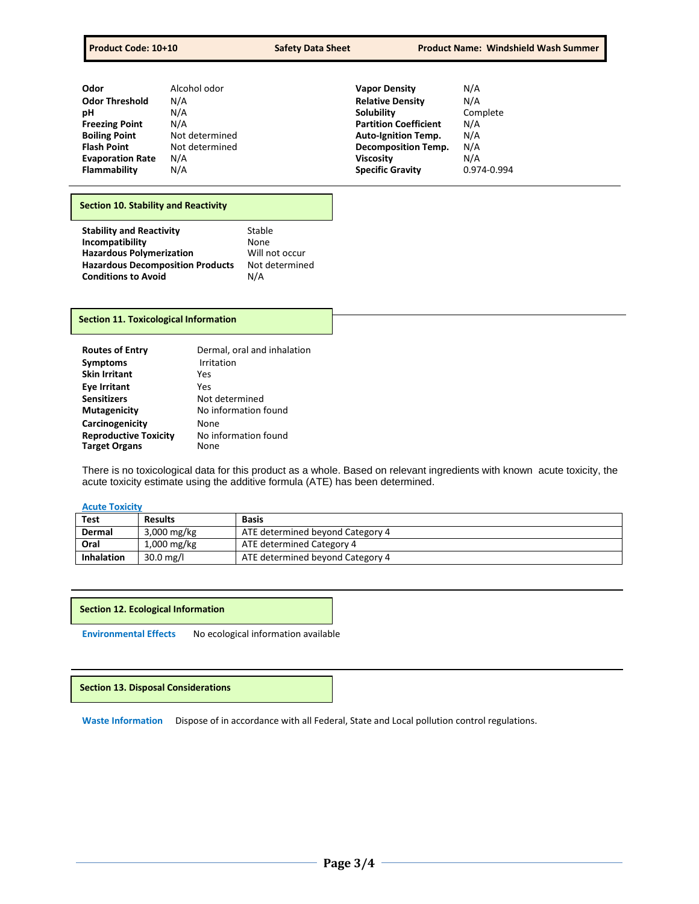| Odor                    | Alcohol odor   | <b>Vapor Density</b>         | N/A         |
|-------------------------|----------------|------------------------------|-------------|
| <b>Odor Threshold</b>   | N/A            | <b>Relative Density</b>      | N/A         |
| рH                      | N/A            | Solubility                   | Complete    |
| <b>Freezing Point</b>   | N/A            | <b>Partition Coefficient</b> | N/A         |
| <b>Boiling Point</b>    | Not determined | <b>Auto-Ignition Temp.</b>   | N/A         |
| <b>Flash Point</b>      | Not determined | <b>Decomposition Temp.</b>   | N/A         |
| <b>Evaporation Rate</b> | N/A            | <b>Viscosity</b>             | N/A         |
| Flammability            | N/A            | <b>Specific Gravity</b>      | 0.974-0.994 |

#### **Section 10. Stability and Reactivity**

| <b>Stability and Reactivity</b>         | Stable         |
|-----------------------------------------|----------------|
| Incompatibility                         | None           |
| <b>Hazardous Polymerization</b>         | Will not occur |
| <b>Hazardous Decomposition Products</b> | Not determined |
| <b>Conditions to Avoid</b>              | N/A            |

#### **Section 11. Toxicological Information**

| <b>Routes of Entry</b>       | Dermal, oral and inhalation |
|------------------------------|-----------------------------|
| <b>Symptoms</b>              | Irritation                  |
| <b>Skin Irritant</b>         | Yes                         |
| <b>Eve Irritant</b>          | Yes                         |
| <b>Sensitizers</b>           | Not determined              |
| <b>Mutagenicity</b>          | No information found        |
| Carcinogenicity              | None                        |
| <b>Reproductive Toxicity</b> | No information found        |
| <b>Target Organs</b>         | None                        |

There is no toxicological data for this product as a whole. Based on relevant ingredients with known acute toxicity, the acute toxicity estimate using the additive formula (ATE) has been determined.

# **Acute Toxicity**

| Test              | <b>Results</b> | <b>Basis</b>                     |
|-------------------|----------------|----------------------------------|
| Dermal            | $3,000$ mg/kg  | ATE determined beyond Category 4 |
| Oral              | $1,000$ mg/kg  | ATE determined Category 4        |
| <b>Inhalation</b> | $30.0$ mg/l    | ATE determined beyond Category 4 |

#### **Section 12. Ecological Information**

**Environmental Effects** No ecological information available

**Section 13. Disposal Considerations**

**Waste Information** Dispose of in accordance with all Federal, State and Local pollution control regulations.